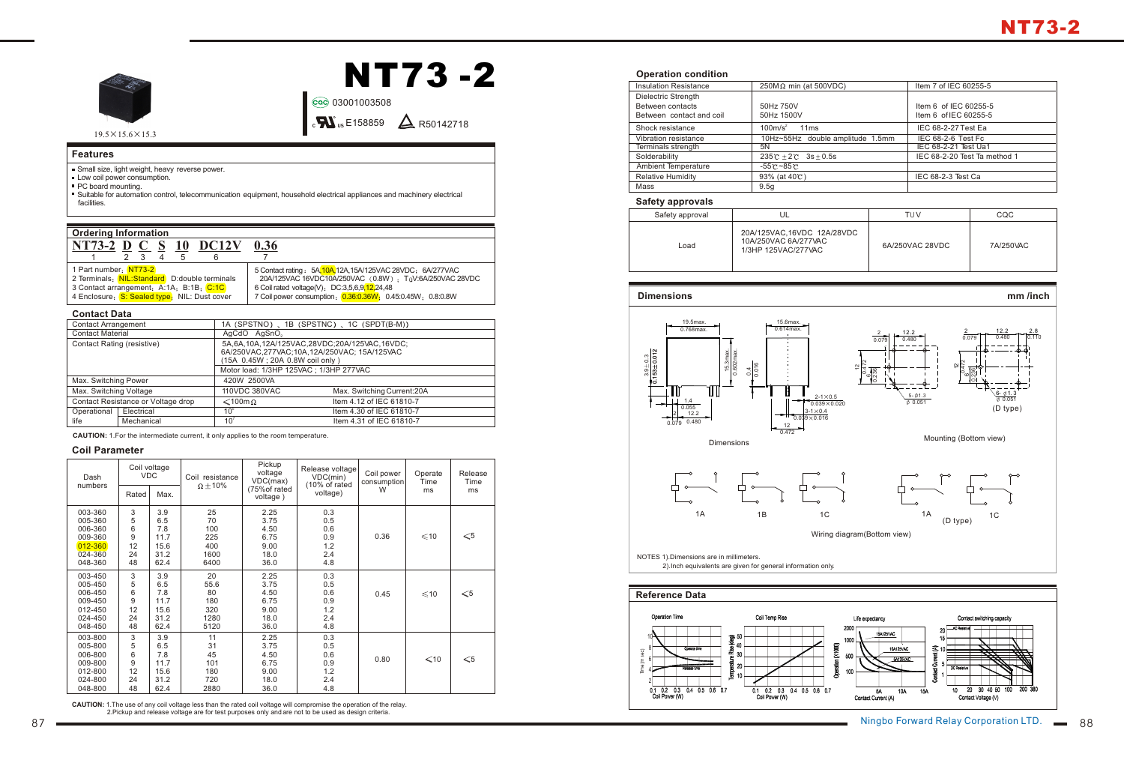

 $19.5 \times 15.6 \times 15.3$ 

# **NT73 -2**

03001003508

E158859 R50142718 C US R

## **Features**

- Small size, light weight, heavy reverse power.
- **Low coil power consumption.**
- **PC** board mounting.
- Suitable for automation control, telecommunication equipment, household electrical appliances and machinery electrical facilities.

| <b>Ordering Information</b>                                                                                                                                      |                                                                                                                                                                                                                                   |  |  |  |  |
|------------------------------------------------------------------------------------------------------------------------------------------------------------------|-----------------------------------------------------------------------------------------------------------------------------------------------------------------------------------------------------------------------------------|--|--|--|--|
| NT73-2 D C S 10 DC12V                                                                                                                                            | 0.36                                                                                                                                                                                                                              |  |  |  |  |
| 2 <sub>3</sub><br>5<br>$\overline{4}$                                                                                                                            |                                                                                                                                                                                                                                   |  |  |  |  |
| 1 Part number: NT73-2<br>2 Terminals: NIL:Standard D:double terminals<br>3 Contact arrangement: A:1A; B:1B; C:1C<br>4 Enclosure: S: Sealed type: NIL: Dust cover | 5 Contact rating: 5A.10A.12A.15A/125VAC 28VDC: 6A/277VAC<br>20A/125VAC 16VDC10A/250VAC (0.8W) ; TuV:6A/250VAC 28VDC<br>6 Coil rated voltage(V): DC:3,5,6,9,12,24,48<br>7 Coil power consumption: 0.36:0.36W; 0.45:0.45W; 0.8:0.8W |  |  |  |  |

#### **Contact Data**

| <b>Contact Arrangement</b>         |            |                                                                                                                                | 1A (SPSTNO), 1B (SPSTNC), 1C (SPDT(B-M)) |  |
|------------------------------------|------------|--------------------------------------------------------------------------------------------------------------------------------|------------------------------------------|--|
| <b>Contact Material</b>            |            | AgCdO AgSnO <sub>2</sub>                                                                                                       |                                          |  |
| Contact Rating (resistive)         |            | 5A,6A,10A,12A/125VAC,28VDC;20A/125VAC,16VDC;<br>6A/250VAC,277VAC,10A,12A/250VAC, 15A/125VAC<br>(15A 0.45W; 20A 0.8W coil only) |                                          |  |
|                                    |            | Motor load: 1/3HP 125VAC ; 1/3HP 277VAC                                                                                        |                                          |  |
| Max. Switching Power               |            | 420W 2500VA                                                                                                                    |                                          |  |
| Max. Switching Voltage             |            | 110VDC 380VAC                                                                                                                  | Max. Switching Current: 20A              |  |
| Contact Resistance or Voltage drop |            | $\leq 100$ m $\Omega$                                                                                                          | Item 4.12 of IEC 61810-7                 |  |
| Operational                        | Electrical | 10 <sup>5</sup>                                                                                                                | Item 4.30 of IEC 61810-7                 |  |
| life                               | Mechanical | 10 <sup>7</sup>                                                                                                                | Item 4.31 of IEC 61810-7                 |  |

**CAUTION:** 1.For the intermediate current, it only applies to the room temperature.

## **Coil Parameter**

| Dash<br>numbers | Coil voltage<br><b>VDC</b> |      | Coil resistance<br>$\Omega \pm 10\%$ | Pickup<br>voltage<br>VDC(max) | Release voltage<br>VDC(min)<br>(10% of rated | Coil power<br>consumption | Operate<br>Time | Release<br>Time |
|-----------------|----------------------------|------|--------------------------------------|-------------------------------|----------------------------------------------|---------------------------|-----------------|-----------------|
|                 | Rated                      | Max. |                                      | (75% of rated<br>voltage)     | voltage)                                     | W                         | ms              | ms              |
| 003-360         | 3                          | 3.9  | 25                                   | 2.25                          | 0.3                                          |                           |                 |                 |
| 005-360         | 5                          | 6.5  | 70                                   | 3.75                          | 0.5                                          |                           |                 |                 |
| 006-360         | 6                          | 7.8  | 100                                  | 4.50                          | 0.6                                          |                           |                 |                 |
| 009-360         | 9                          | 11.7 | 225                                  | 6.75                          | 0.9                                          | 0.36                      | $\leq 10$       | $\leqslant$ 5   |
| 012-360         | 12                         | 15.6 | 400                                  | 9.00                          | 1.2                                          |                           |                 |                 |
| 024-360         | 24                         | 31.2 | 1600                                 | 18.0                          | 2.4                                          |                           |                 |                 |
| 048-360         | 48                         | 62.4 | 6400                                 | 36.0                          | 4.8                                          |                           |                 |                 |
| 003-450         | 3                          | 3.9  | 20                                   | 2.25                          | 0.3                                          |                           |                 |                 |
| 005-450         | 5                          | 6.5  | 55.6                                 | 3.75                          | 0.5                                          |                           |                 |                 |
| 006-450         | 6                          | 7.8  | 80                                   | 4.50                          | 0.6                                          | 0.45                      | $\leq 10$       | $\leqslant$ 5   |
| 009-450         | 9                          | 11.7 | 180                                  | 6.75                          | 0.9                                          |                           |                 |                 |
| 012-450         | 12                         | 15.6 | 320                                  | 9.00                          | 1.2                                          |                           |                 |                 |
| 024-450         | 24                         | 31.2 | 1280                                 | 18.0                          | 2.4                                          |                           |                 |                 |
| 048-450         | 48                         | 62.4 | 5120                                 | 36.0                          | 4.8                                          |                           |                 |                 |
| 003-800         | 3                          | 3.9  | 11                                   | 2.25                          | 0.3                                          |                           |                 |                 |
| 005-800         | 5                          | 6.5  | 31                                   | 3.75                          | 0.5                                          |                           |                 |                 |
| 006-800         | 6                          | 7.8  | 45                                   | 4.50                          | 0.6                                          |                           | $\leq 10$       | $\leqslant$ 5   |
| 009-800         | 9                          | 11.7 | 101                                  | 6.75                          | 0.9                                          | 0.80                      |                 |                 |
| 012-800         | 12                         | 15.6 | 180                                  | 9.00                          | 1.2                                          |                           |                 |                 |
| 024-800         | 24                         | 31.2 | 720                                  | 18.0                          | 2.4                                          |                           |                 |                 |
| 048-800         | 48                         | 62.4 | 2880                                 | 36.0                          | 4.8                                          |                           |                 |                 |

**CAUTION:** 1.The use of any coil voltage less than the rated coil voltage will compromise the operation of the relay. 2.Pickup and release voltage are for test purposes only and are not to be used as design criteria.